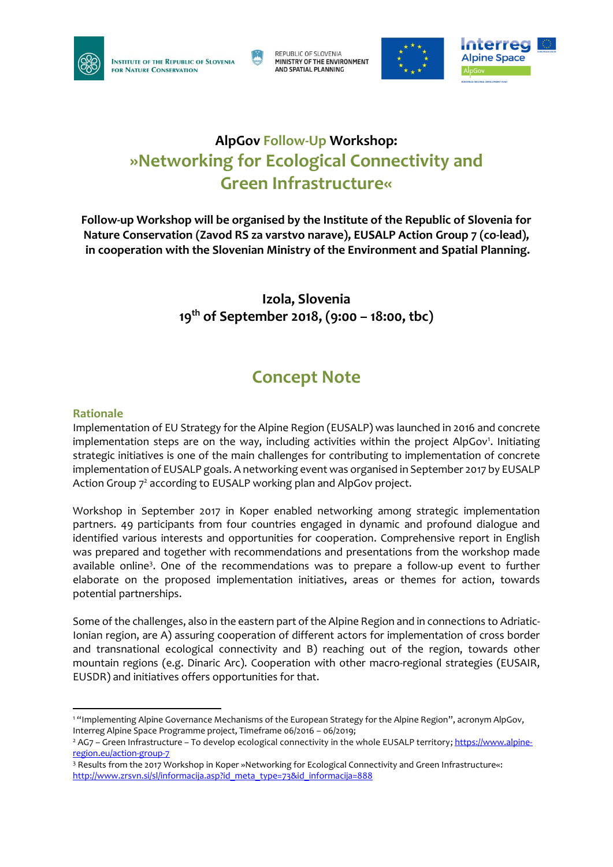

REPUBLIC OF SLOVENIA MINISTRY OF THE ENVIRONMENT **AND SPATIAL PLANNING** 





## **AlpGov Follow-Up Workshop: »Networking for Ecological Connectivity and Green Infrastructure«**

**Follow-up Workshop will be organised by the Institute of the Republic of Slovenia for Nature Conservation (Zavod RS za varstvo narave), EUSALP Action Group 7 (co-lead), in cooperation with the Slovenian Ministry of the Environment and Spatial Planning.**

> **Izola, Slovenia 19th of September 2018, (9:00 – 18:00, tbc)**

# **Concept Note**

### **Rationale**

Implementation of EU Strategy for the Alpine Region (EUSALP) was launched in 2016 and concrete implementation steps are on the way, including activities within the project AlpGov<sup>1</sup>. Initiating strategic initiatives is one of the main challenges for contributing to implementation of concrete implementation of EUSALP goals. A networking event was organised in September 2017 by EUSALP Action Group 7<sup>2</sup> according to EUSALP working plan and AlpGov project.

Workshop in September 2017 in Koper enabled networking among strategic implementation partners. 49 participants from four countries engaged in dynamic and profound dialogue and identified various interests and opportunities for cooperation. Comprehensive report in English was prepared and together with recommendations and presentations from the workshop made available online<sup>3</sup>. One of the recommendations was to prepare a follow-up event to further elaborate on the proposed implementation initiatives, areas or themes for action, towards potential partnerships.

Some of the challenges, also in the eastern part of the Alpine Region and in connections to Adriatic-Ionian region, are A) assuring cooperation of different actors for implementation of cross border and transnational ecological connectivity and B) reaching out of the region, towards other mountain regions (e.g. Dinaric Arc). Cooperation with other macro-regional strategies (EUSAIR, EUSDR) and initiatives offers opportunities for that.

<sup>-</sup><sup>1</sup> "Implementing Alpine Governance Mechanisms of the European Strategy for the Alpine Region", acronym AlpGov, Interreg Alpine Space Programme project, Timeframe 06/2016 – 06/2019;

<sup>&</sup>lt;sup>2</sup> AG7 – Green Infrastructure – To develop ecological connectivity in the whole EUSALP territory; [https://www.alpine](https://www.alpine-region.eu/action-group-7)[region.eu/action-group-7](https://www.alpine-region.eu/action-group-7)

<sup>3</sup> Results from the 2017 Workshop in Koper »Networking for Ecological Connectivity and Green Infrastructure«: [http://www.zrsvn.si/sl/informacija.asp?id\\_meta\\_type=73&id\\_informacija=888](http://www.zrsvn.si/sl/informacija.asp?id_meta_type=73&id_informacija=888)